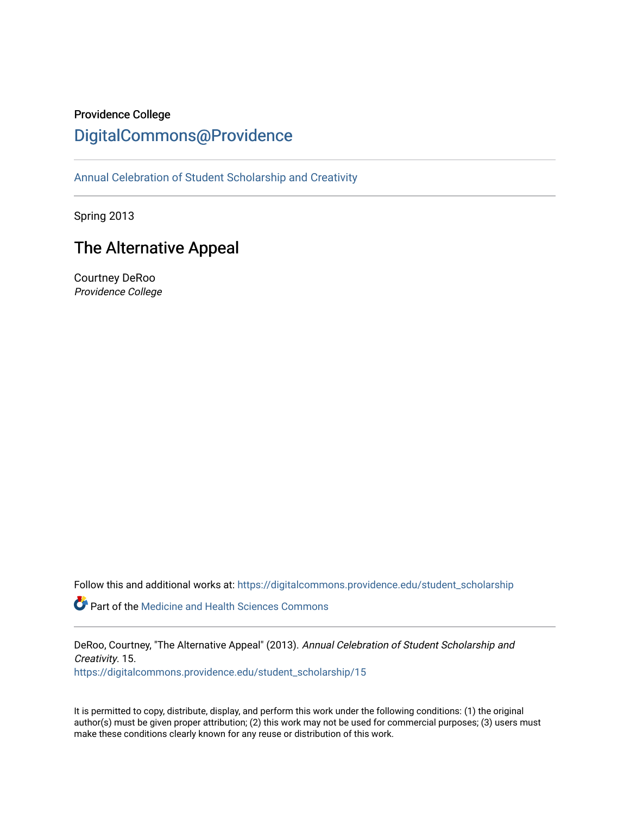# Providence College

# [DigitalCommons@Providence](https://digitalcommons.providence.edu/)

[Annual Celebration of Student Scholarship and Creativity](https://digitalcommons.providence.edu/student_scholarship) 

Spring 2013

# The Alternative Appeal

Courtney DeRoo Providence College

Follow this and additional works at: [https://digitalcommons.providence.edu/student\\_scholarship](https://digitalcommons.providence.edu/student_scholarship?utm_source=digitalcommons.providence.edu%2Fstudent_scholarship%2F15&utm_medium=PDF&utm_campaign=PDFCoverPages) 

**Part of the Medicine and Health Sciences Commons** 

DeRoo, Courtney, "The Alternative Appeal" (2013). Annual Celebration of Student Scholarship and Creativity. 15. [https://digitalcommons.providence.edu/student\\_scholarship/15](https://digitalcommons.providence.edu/student_scholarship/15?utm_source=digitalcommons.providence.edu%2Fstudent_scholarship%2F15&utm_medium=PDF&utm_campaign=PDFCoverPages) 

It is permitted to copy, distribute, display, and perform this work under the following conditions: (1) the original author(s) must be given proper attribution; (2) this work may not be used for commercial purposes; (3) users must make these conditions clearly known for any reuse or distribution of this work.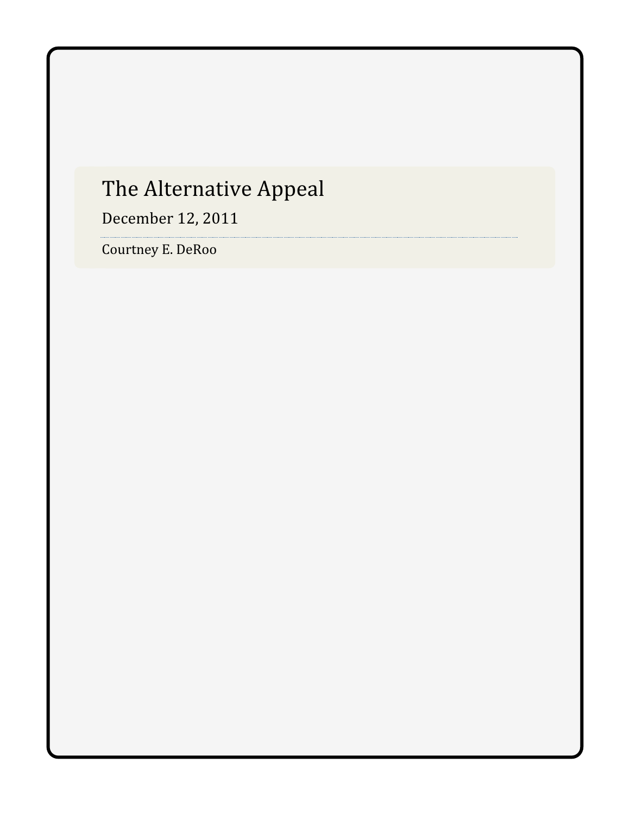# The Alternative Appeal

December 12, 2011

Courtney E. DeRoo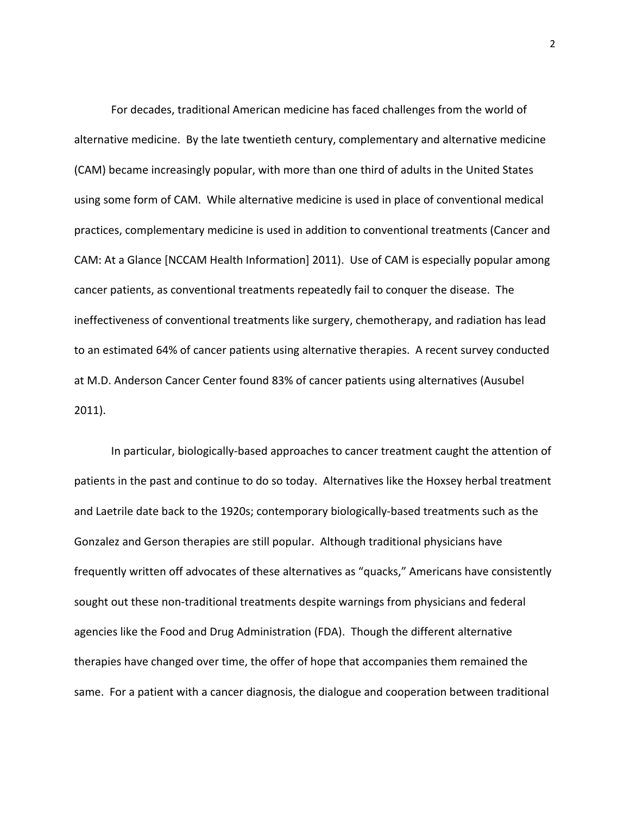For decades, traditional American medicine has faced challenges from the world of alternative medicine. By the late twentieth century, complementary and alternative medicine (CAM) became increasingly popular, with more than one third of adults in the United States using some form of CAM. While alternative medicine is used in place of conventional medical practices, complementary medicine is used in addition to conventional treatments (Cancer and CAM: At a Glance [NCCAM Health Information] 2011). Use of CAM is especially popular among cancer patients, as conventional treatments repeatedly fail to conquer the disease. The ineffectiveness of conventional treatments like surgery, chemotherapy, and radiation has lead to an estimated 64% of cancer patients using alternative therapies. A recent survey conducted at M.D. Anderson Cancer Center found 83% of cancer patients using alternatives (Ausubel 2011).

In particular, biologically‐based approaches to cancer treatment caught the attention of patients in the past and continue to do so today. Alternatives like the Hoxsey herbal treatment and Laetrile date back to the 1920s; contemporary biologically‐based treatments such as the Gonzalez and Gerson therapies are still popular. Although traditional physicians have frequently written off advocates of these alternatives as "quacks," Americans have consistently sought out these non-traditional treatments despite warnings from physicians and federal agencies like the Food and Drug Administration (FDA). Though the different alternative therapies have changed over time, the offer of hope that accompanies them remained the same. For a patient with a cancer diagnosis, the dialogue and cooperation between traditional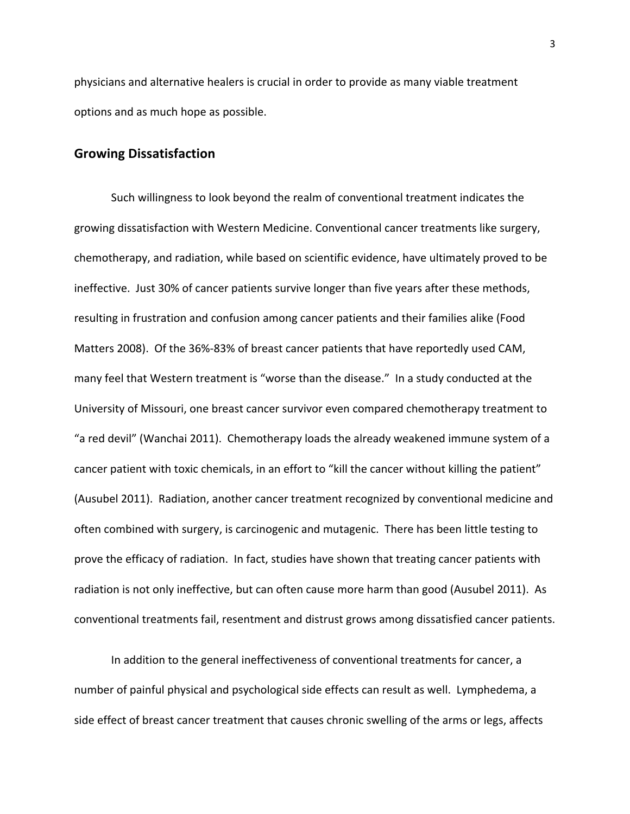physicians and alternative healers is crucial in order to provide as many viable treatment options and as much hope as possible.

#### **Growing Dissatisfaction**

Such willingness to look beyond the realm of conventional treatment indicates the growing dissatisfaction with Western Medicine. Conventional cancer treatments like surgery, chemotherapy, and radiation, while based on scientific evidence, have ultimately proved to be ineffective. Just 30% of cancer patients survive longer than five years after these methods, resulting in frustration and confusion among cancer patients and their families alike (Food Matters 2008). Of the 36%‐83% of breast cancer patients that have reportedly used CAM, many feel that Western treatment is "worse than the disease." In a study conducted at the University of Missouri, one breast cancer survivor even compared chemotherapy treatment to "a red devil" (Wanchai 2011). Chemotherapy loads the already weakened immune system of a cancer patient with toxic chemicals, in an effort to "kill the cancer without killing the patient" (Ausubel 2011). Radiation, another cancer treatment recognized by conventional medicine and often combined with surgery, is carcinogenic and mutagenic. There has been little testing to prove the efficacy of radiation. In fact, studies have shown that treating cancer patients with radiation is not only ineffective, but can often cause more harm than good (Ausubel 2011). As conventional treatments fail, resentment and distrust grows among dissatisfied cancer patients.

In addition to the general ineffectiveness of conventional treatments for cancer, a number of painful physical and psychological side effects can result as well. Lymphedema, a side effect of breast cancer treatment that causes chronic swelling of the arms or legs, affects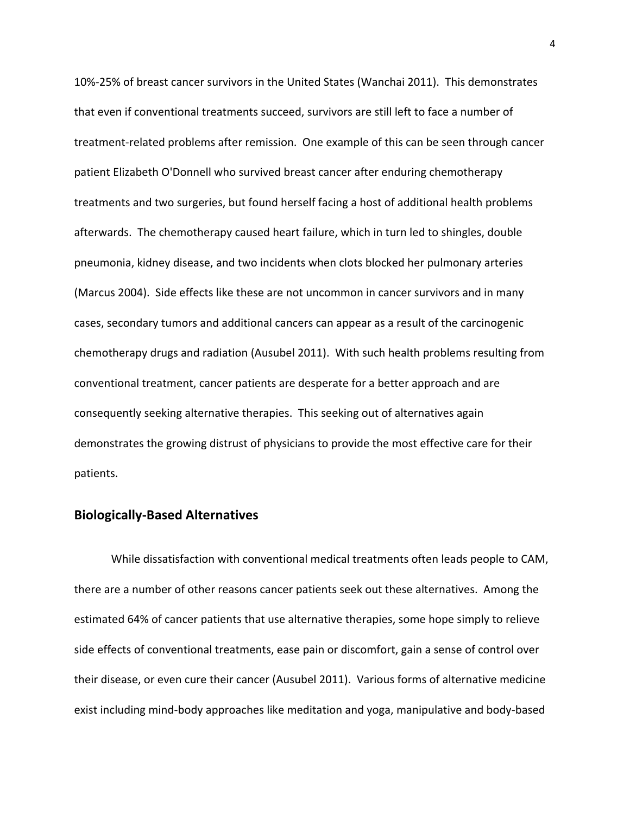10%‐25% of breast cancer survivors in the United States (Wanchai 2011). This demonstrates that even if conventional treatments succeed, survivors are still left to face a number of treatment‐related problems after remission. One example of this can be seen through cancer patient Elizabeth O'Donnell who survived breast cancer after enduring chemotherapy treatments and two surgeries, but found herself facing a host of additional health problems afterwards. The chemotherapy caused heart failure, which in turn led to shingles, double pneumonia, kidney disease, and two incidents when clots blocked her pulmonary arteries (Marcus 2004). Side effects like these are not uncommon in cancer survivors and in many cases, secondary tumors and additional cancers can appear as a result of the carcinogenic chemotherapy drugs and radiation (Ausubel 2011). With such health problems resulting from conventional treatment, cancer patients are desperate for a better approach and are consequently seeking alternative therapies. This seeking out of alternatives again demonstrates the growing distrust of physicians to provide the most effective care for their patients.

#### **Biologically‐Based Alternatives**

While dissatisfaction with conventional medical treatments often leads people to CAM, there are a number of other reasons cancer patients seek out these alternatives. Among the estimated 64% of cancer patients that use alternative therapies, some hope simply to relieve side effects of conventional treatments, ease pain or discomfort, gain a sense of control over their disease, or even cure their cancer (Ausubel 2011). Various forms of alternative medicine exist including mind‐body approaches like meditation and yoga, manipulative and body‐based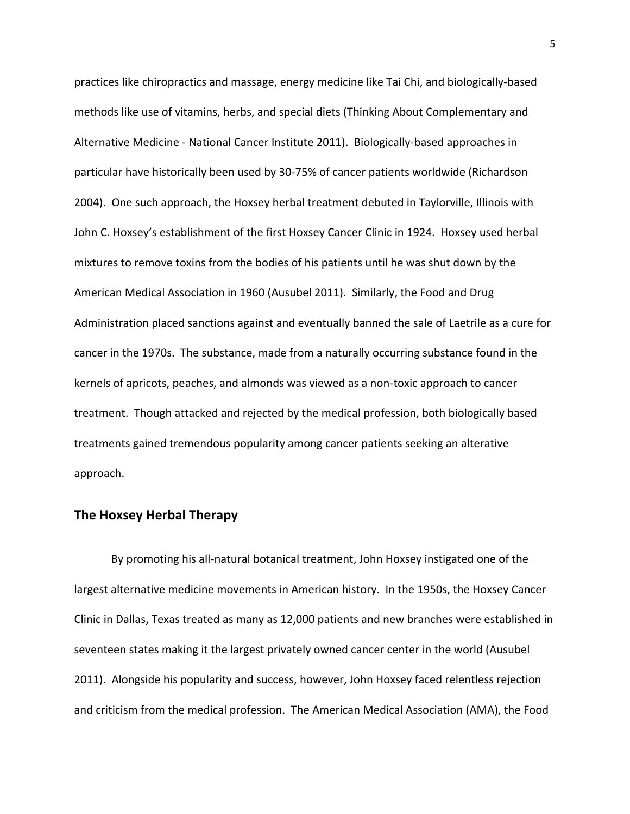practices like chiropractics and massage, energy medicine like Tai Chi, and biologically‐based methods like use of vitamins, herbs, and special diets (Thinking About Complementary and Alternative Medicine ‐ National Cancer Institute 2011). Biologically‐based approaches in particular have historically been used by 30‐75% of cancer patients worldwide (Richardson 2004). One such approach, the Hoxsey herbal treatment debuted in Taylorville, Illinois with John C. Hoxsey's establishment of the first Hoxsey Cancer Clinic in 1924. Hoxsey used herbal mixtures to remove toxins from the bodies of his patients until he was shut down by the American Medical Association in 1960 (Ausubel 2011). Similarly, the Food and Drug Administration placed sanctions against and eventually banned the sale of Laetrile as a cure for cancer in the 1970s. The substance, made from a naturally occurring substance found in the kernels of apricots, peaches, and almonds was viewed as a non‐toxic approach to cancer treatment. Though attacked and rejected by the medical profession, both biologically based treatments gained tremendous popularity among cancer patients seeking an alterative approach.

## **The Hoxsey Herbal Therapy**

By promoting his all‐natural botanical treatment, John Hoxsey instigated one of the largest alternative medicine movements in American history. In the 1950s, the Hoxsey Cancer Clinic in Dallas, Texas treated as many as 12,000 patients and new branches were established in seventeen states making it the largest privately owned cancer center in the world (Ausubel 2011). Alongside his popularity and success, however, John Hoxsey faced relentless rejection and criticism from the medical profession. The American Medical Association (AMA), the Food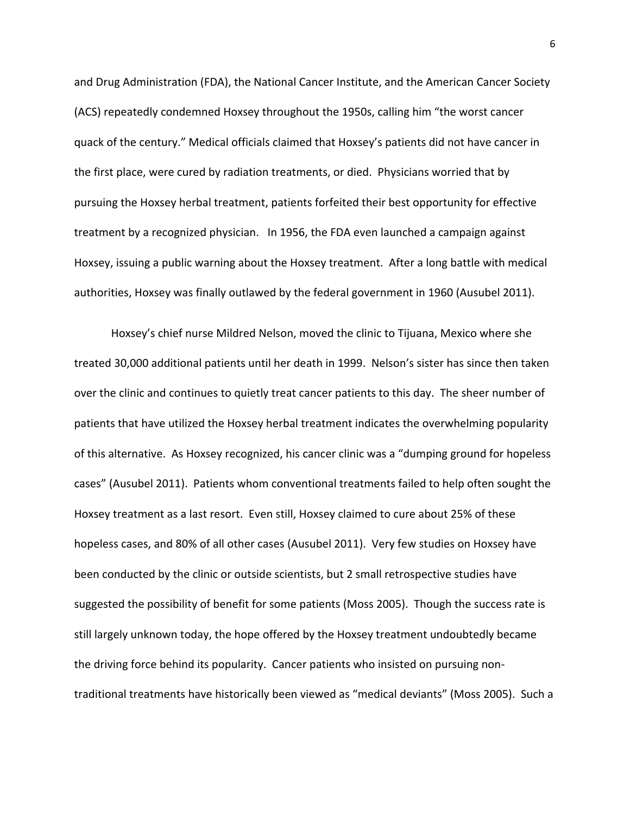and Drug Administration (FDA), the National Cancer Institute, and the American Cancer Society (ACS) repeatedly condemned Hoxsey throughout the 1950s, calling him "the worst cancer quack of the century." Medical officials claimed that Hoxsey's patients did not have cancer in the first place, were cured by radiation treatments, or died. Physicians worried that by pursuing the Hoxsey herbal treatment, patients forfeited their best opportunity for effective treatment by a recognized physician. In 1956, the FDA even launched a campaign against Hoxsey, issuing a public warning about the Hoxsey treatment. After a long battle with medical authorities, Hoxsey was finally outlawed by the federal government in 1960 (Ausubel 2011).

Hoxsey's chief nurse Mildred Nelson, moved the clinic to Tijuana, Mexico where she treated 30,000 additional patients until her death in 1999. Nelson's sister has since then taken over the clinic and continues to quietly treat cancer patients to this day. The sheer number of patients that have utilized the Hoxsey herbal treatment indicates the overwhelming popularity of this alternative. As Hoxsey recognized, his cancer clinic was a "dumping ground for hopeless cases" (Ausubel 2011). Patients whom conventional treatments failed to help often sought the Hoxsey treatment as a last resort. Even still, Hoxsey claimed to cure about 25% of these hopeless cases, and 80% of all other cases (Ausubel 2011). Very few studies on Hoxsey have been conducted by the clinic or outside scientists, but 2 small retrospective studies have suggested the possibility of benefit for some patients (Moss 2005). Though the success rate is still largely unknown today, the hope offered by the Hoxsey treatment undoubtedly became the driving force behind its popularity. Cancer patients who insisted on pursuing non‐ traditional treatments have historically been viewed as "medical deviants" (Moss 2005). Such a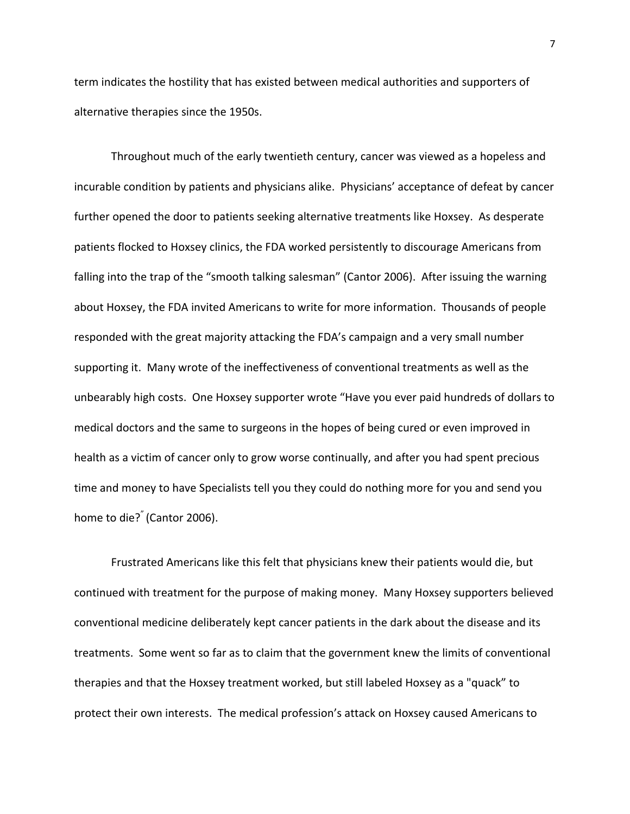term indicates the hostility that has existed between medical authorities and supporters of alternative therapies since the 1950s.

Throughout much of the early twentieth century, cancer was viewed as a hopeless and incurable condition by patients and physicians alike. Physicians' acceptance of defeat by cancer further opened the door to patients seeking alternative treatments like Hoxsey. As desperate patients flocked to Hoxsey clinics, the FDA worked persistently to discourage Americans from falling into the trap of the "smooth talking salesman" (Cantor 2006). After issuing the warning about Hoxsey, the FDA invited Americans to write for more information. Thousands of people responded with the great majority attacking the FDA's campaign and a very small number supporting it. Many wrote of the ineffectiveness of conventional treatments as well as the unbearably high costs. One Hoxsey supporter wrote "Have you ever paid hundreds of dollars to medical doctors and the same to surgeons in the hopes of being cured or even improved in health as a victim of cancer only to grow worse continually, and after you had spent precious time and money to have Specialists tell you they could do nothing more for you and send you home to die?<sup>"</sup> (Cantor 2006).

Frustrated Americans like this felt that physicians knew their patients would die, but continued with treatment for the purpose of making money. Many Hoxsey supporters believed conventional medicine deliberately kept cancer patients in the dark about the disease and its treatments. Some went so far as to claim that the government knew the limits of conventional therapies and that the Hoxsey treatment worked, but still labeled Hoxsey as a "quack" to protect their own interests. The medical profession's attack on Hoxsey caused Americans to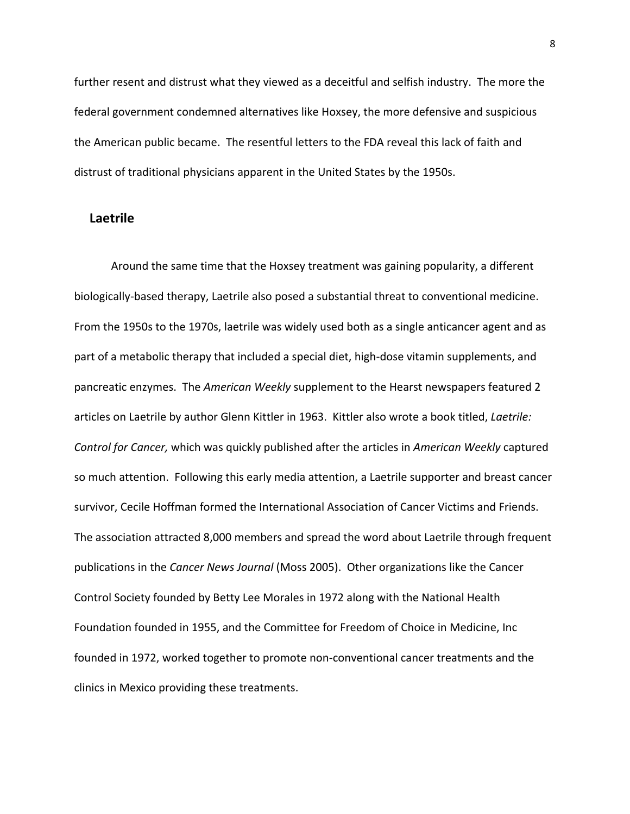further resent and distrust what they viewed as a deceitful and selfish industry. The more the federal government condemned alternatives like Hoxsey, the more defensive and suspicious the American public became. The resentful letters to the FDA reveal this lack of faith and distrust of traditional physicians apparent in the United States by the 1950s.

#### **Laetrile**

Around the same time that the Hoxsey treatment was gaining popularity, a different biologically‐based therapy, Laetrile also posed a substantial threat to conventional medicine. From the 1950s to the 1970s, laetrile was widely used both as a single anticancer agent and as part of a metabolic therapy that included a special diet, high‐dose vitamin supplements, and pancreatic enzymes. The *American Weekly* supplement to the Hearst newspapers featured 2 articles on Laetrile by author Glenn Kittler in 1963. Kittler also wrote a book titled, *Laetrile: Control for Cancer,* which was quickly published after the articles in *American Weekly* captured so much attention. Following this early media attention, a Laetrile supporter and breast cancer survivor, Cecile Hoffman formed the International Association of Cancer Victims and Friends. The association attracted 8,000 members and spread the word about Laetrile through frequent publications in the *Cancer News Journal* (Moss 2005). Other organizations like the Cancer Control Society founded by Betty Lee Morales in 1972 along with the National Health Foundation founded in 1955, and the Committee for Freedom of Choice in Medicine, Inc founded in 1972, worked together to promote non‐conventional cancer treatments and the clinics in Mexico providing these treatments.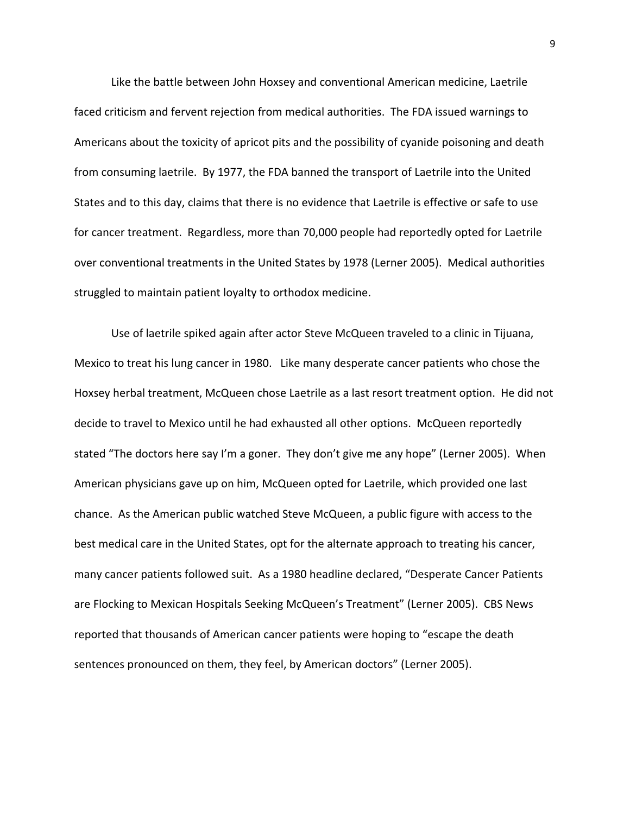Like the battle between John Hoxsey and conventional American medicine, Laetrile faced criticism and fervent rejection from medical authorities. The FDA issued warnings to Americans about the toxicity of apricot pits and the possibility of cyanide poisoning and death from consuming laetrile. By 1977, the FDA banned the transport of Laetrile into the United States and to this day, claims that there is no evidence that Laetrile is effective or safe to use for cancer treatment. Regardless, more than 70,000 people had reportedly opted for Laetrile over conventional treatments in the United States by 1978 (Lerner 2005). Medical authorities struggled to maintain patient loyalty to orthodox medicine.

Use of laetrile spiked again after actor Steve McQueen traveled to a clinic in Tijuana, Mexico to treat his lung cancer in 1980. Like many desperate cancer patients who chose the Hoxsey herbal treatment, McQueen chose Laetrile as a last resort treatment option. He did not decide to travel to Mexico until he had exhausted all other options. McQueen reportedly stated "The doctors here say I'm a goner. They don't give me any hope" (Lerner 2005). When American physicians gave up on him, McQueen opted for Laetrile, which provided one last chance. As the American public watched Steve McQueen, a public figure with access to the best medical care in the United States, opt for the alternate approach to treating his cancer, many cancer patients followed suit. As a 1980 headline declared, "Desperate Cancer Patients are Flocking to Mexican Hospitals Seeking McQueen's Treatment" (Lerner 2005). CBS News reported that thousands of American cancer patients were hoping to "escape the death sentences pronounced on them, they feel, by American doctors" (Lerner 2005).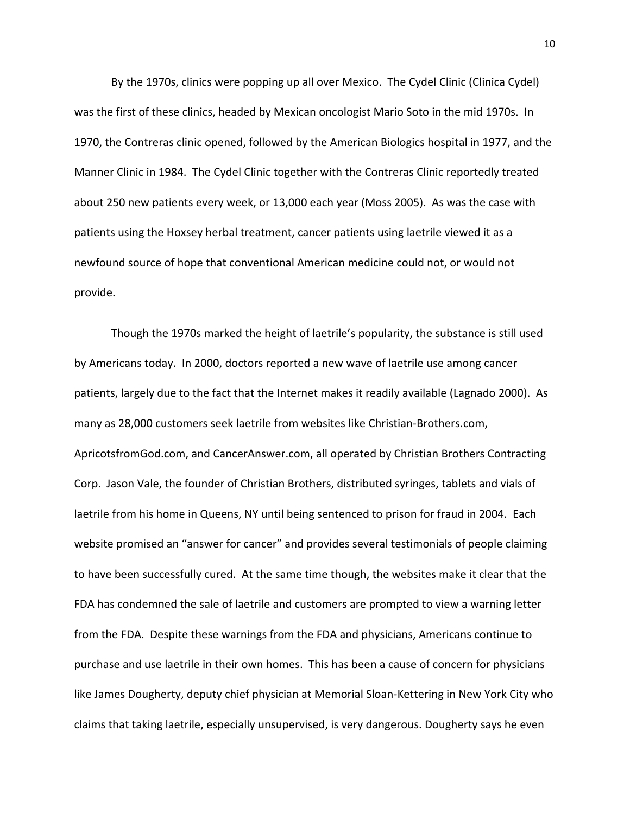By the 1970s, clinics were popping up all over Mexico. The Cydel Clinic (Clinica Cydel) was the first of these clinics, headed by Mexican oncologist Mario Soto in the mid 1970s. In 1970, the Contreras clinic opened, followed by the American Biologics hospital in 1977, and the Manner Clinic in 1984. The Cydel Clinic together with the Contreras Clinic reportedly treated about 250 new patients every week, or 13,000 each year (Moss 2005). As was the case with patients using the Hoxsey herbal treatment, cancer patients using laetrile viewed it as a newfound source of hope that conventional American medicine could not, or would not provide.

Though the 1970s marked the height of laetrile's popularity, the substance is still used by Americans today. In 2000, doctors reported a new wave of laetrile use among cancer patients, largely due to the fact that the Internet makes it readily available (Lagnado 2000). As many as 28,000 customers seek laetrile from websites like Christian‐Brothers.com, ApricotsfromGod.com, and CancerAnswer.com, all operated by Christian Brothers Contracting Corp. Jason Vale, the founder of Christian Brothers, distributed syringes, tablets and vials of laetrile from his home in Queens, NY until being sentenced to prison for fraud in 2004. Each website promised an "answer for cancer" and provides several testimonials of people claiming to have been successfully cured. At the same time though, the websites make it clear that the FDA has condemned the sale of laetrile and customers are prompted to view a warning letter from the FDA. Despite these warnings from the FDA and physicians, Americans continue to purchase and use laetrile in their own homes. This has been a cause of concern for physicians like James Dougherty, deputy chief physician at Memorial Sloan‐Kettering in New York City who claims that taking laetrile, especially unsupervised, is very dangerous. Dougherty says he even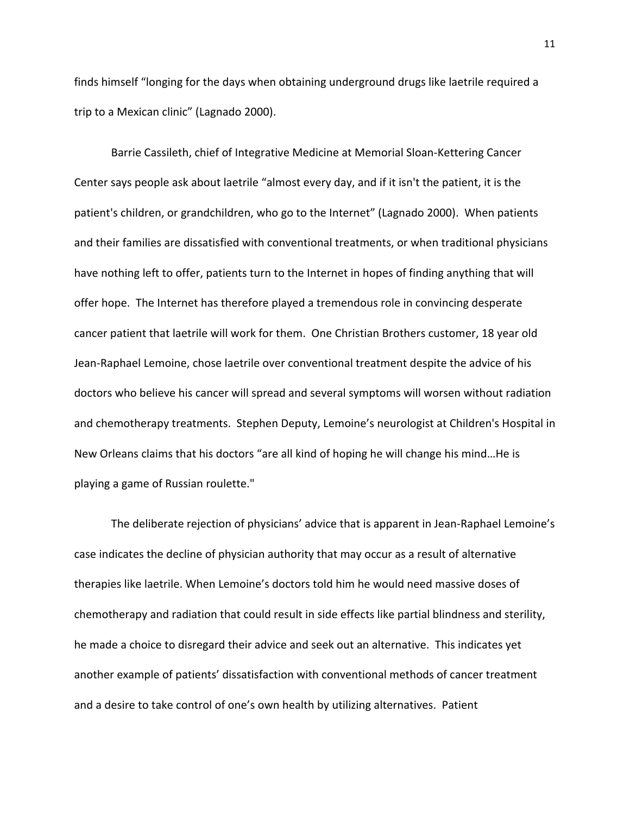finds himself "longing for the days when obtaining underground drugs like laetrile required a trip to a Mexican clinic" (Lagnado 2000).

Barrie Cassileth, chief of Integrative Medicine at Memorial Sloan‐Kettering Cancer Center says people ask about laetrile "almost every day, and if it isn't the patient, it is the patient's children, or grandchildren, who go to the Internet" (Lagnado 2000). When patients and their families are dissatisfied with conventional treatments, or when traditional physicians have nothing left to offer, patients turn to the Internet in hopes of finding anything that will offer hope. The Internet has therefore played a tremendous role in convincing desperate cancer patient that laetrile will work for them. One Christian Brothers customer, 18 year old Jean‐Raphael Lemoine, chose laetrile over conventional treatment despite the advice of his doctors who believe his cancer will spread and several symptoms will worsen without radiation and chemotherapy treatments. Stephen Deputy, Lemoine's neurologist at Children's Hospital in New Orleans claims that his doctors "are all kind of hoping he will change his mind…He is playing a game of Russian roulette."

The deliberate rejection of physicians' advice that is apparent in Jean‐Raphael Lemoine's case indicates the decline of physician authority that may occur as a result of alternative therapies like laetrile. When Lemoine's doctors told him he would need massive doses of chemotherapy and radiation that could result in side effects like partial blindness and sterility, he made a choice to disregard their advice and seek out an alternative. This indicates yet another example of patients' dissatisfaction with conventional methods of cancer treatment and a desire to take control of one's own health by utilizing alternatives. Patient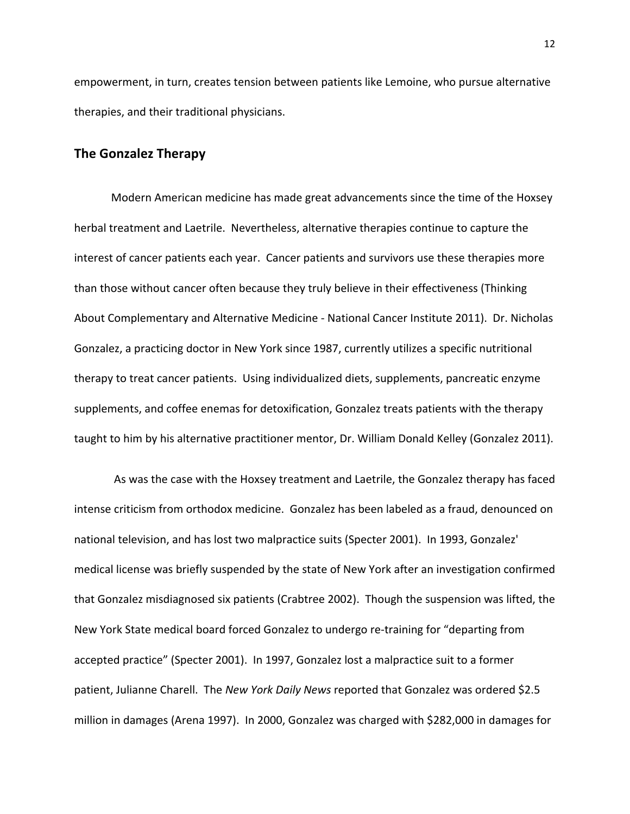empowerment, in turn, creates tension between patients like Lemoine, who pursue alternative therapies, and their traditional physicians.

#### **The Gonzalez Therapy**

Modern American medicine has made great advancements since the time of the Hoxsey herbal treatment and Laetrile. Nevertheless, alternative therapies continue to capture the interest of cancer patients each year. Cancer patients and survivors use these therapies more than those without cancer often because they truly believe in their effectiveness (Thinking About Complementary and Alternative Medicine ‐ National Cancer Institute 2011). Dr. Nicholas Gonzalez, a practicing doctor in New York since 1987, currently utilizes a specific nutritional therapy to treat cancer patients. Using individualized diets, supplements, pancreatic enzyme supplements, and coffee enemas for detoxification, Gonzalez treats patients with the therapy taught to him by his alternative practitioner mentor, Dr. William Donald Kelley (Gonzalez 2011).

 As was the case with the Hoxsey treatment and Laetrile, the Gonzalez therapy has faced intense criticism from orthodox medicine. Gonzalez has been labeled as a fraud, denounced on national television, and has lost two malpractice suits (Specter 2001). In 1993, Gonzalez' medical license was briefly suspended by the state of New York after an investigation confirmed that Gonzalez misdiagnosed six patients (Crabtree 2002). Though the suspension was lifted, the New York State medical board forced Gonzalez to undergo re‐training for "departing from accepted practice" (Specter 2001). In 1997, Gonzalez lost a malpractice suit to a former patient, Julianne Charell. The *New York Daily News* reported that Gonzalez was ordered \$2.5 million in damages (Arena 1997). In 2000, Gonzalez was charged with \$282,000 in damages for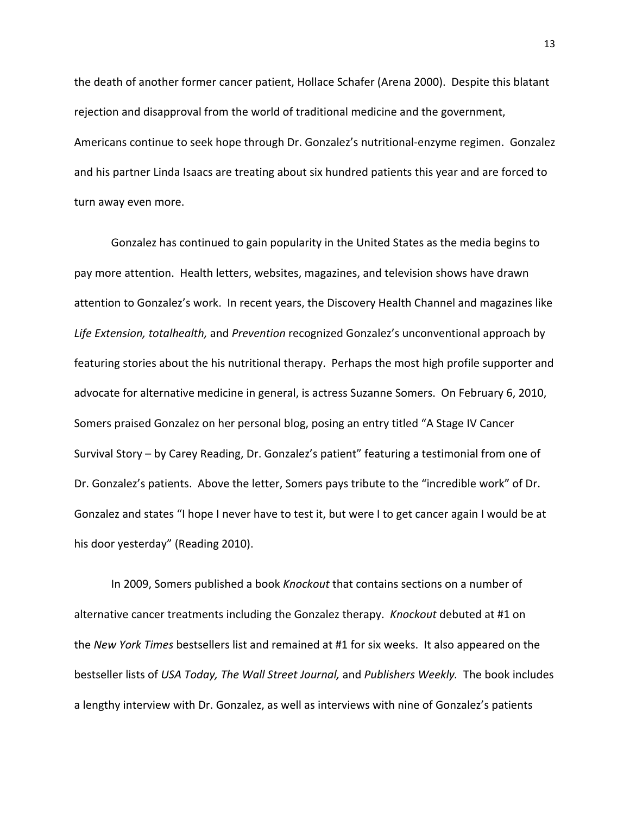the death of another former cancer patient, Hollace Schafer (Arena 2000). Despite this blatant rejection and disapproval from the world of traditional medicine and the government, Americans continue to seek hope through Dr. Gonzalez's nutritional‐enzyme regimen. Gonzalez and his partner Linda Isaacs are treating about six hundred patients this year and are forced to turn away even more.

Gonzalez has continued to gain popularity in the United States as the media begins to pay more attention. Health letters, websites, magazines, and television shows have drawn attention to Gonzalez's work. In recent years, the Discovery Health Channel and magazines like *Life Extension, totalhealth,* and *Prevention* recognized Gonzalez's unconventional approach by featuring stories about the his nutritional therapy. Perhaps the most high profile supporter and advocate for alternative medicine in general, is actress Suzanne Somers. On February 6, 2010, Somers praised Gonzalez on her personal blog, posing an entry titled "A Stage IV Cancer Survival Story – by Carey Reading, Dr. Gonzalez's patient" featuring a testimonial from one of Dr. Gonzalez's patients. Above the letter, Somers pays tribute to the "incredible work" of Dr. Gonzalez and states "I hope I never have to test it, but were I to get cancer again I would be at his door yesterday" (Reading 2010).

In 2009, Somers published a book *Knockout* that contains sections on a number of alternative cancer treatments including the Gonzalez therapy. *Knockout* debuted at #1 on the *New York Times* bestsellers list and remained at #1 for six weeks. It also appeared on the bestseller lists of *USA Today, The Wall Street Journal,* and *Publishers Weekly.* The book includes a lengthy interview with Dr. Gonzalez, as well as interviews with nine of Gonzalez's patients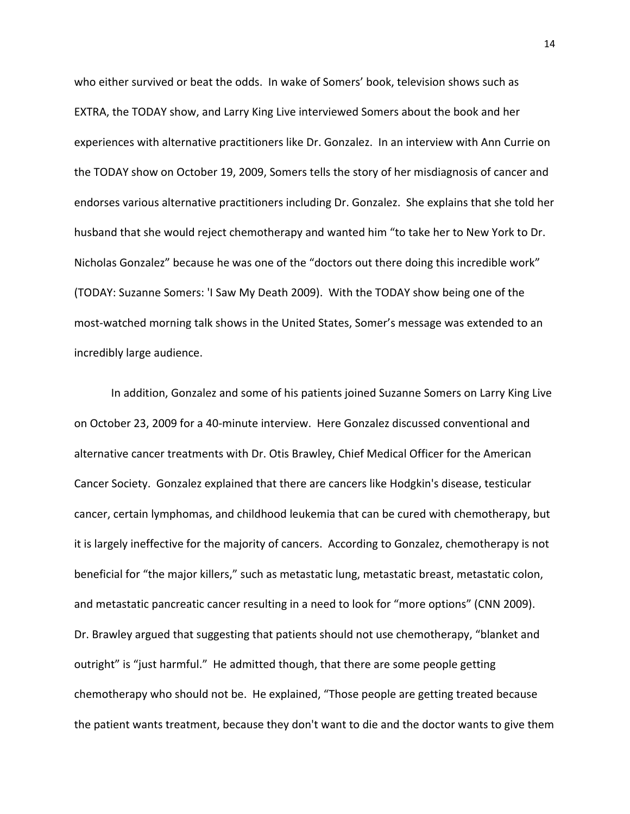who either survived or beat the odds. In wake of Somers' book, television shows such as EXTRA, the TODAY show, and Larry King Live interviewed Somers about the book and her experiences with alternative practitioners like Dr. Gonzalez. In an interview with Ann Currie on the TODAY show on October 19, 2009, Somers tells the story of her misdiagnosis of cancer and endorses various alternative practitioners including Dr. Gonzalez. She explains that she told her husband that she would reject chemotherapy and wanted him "to take her to New York to Dr. Nicholas Gonzalez" because he was one of the "doctors out there doing this incredible work" (TODAY: Suzanne Somers: 'I Saw My Death 2009). With the TODAY show being one of the most‐watched morning talk shows in the United States, Somer's message was extended to an incredibly large audience.

In addition, Gonzalez and some of his patients joined Suzanne Somers on Larry King Live on October 23, 2009 for a 40‐minute interview. Here Gonzalez discussed conventional and alternative cancer treatments with Dr. Otis Brawley, Chief Medical Officer for the American Cancer Society. Gonzalez explained that there are cancers like Hodgkin's disease, testicular cancer, certain lymphomas, and childhood leukemia that can be cured with chemotherapy, but it is largely ineffective for the majority of cancers. According to Gonzalez, chemotherapy is not beneficial for "the major killers," such as metastatic lung, metastatic breast, metastatic colon, and metastatic pancreatic cancer resulting in a need to look for "more options" (CNN 2009). Dr. Brawley argued that suggesting that patients should not use chemotherapy, "blanket and outright" is "just harmful." He admitted though, that there are some people getting chemotherapy who should not be. He explained, "Those people are getting treated because the patient wants treatment, because they don't want to die and the doctor wants to give them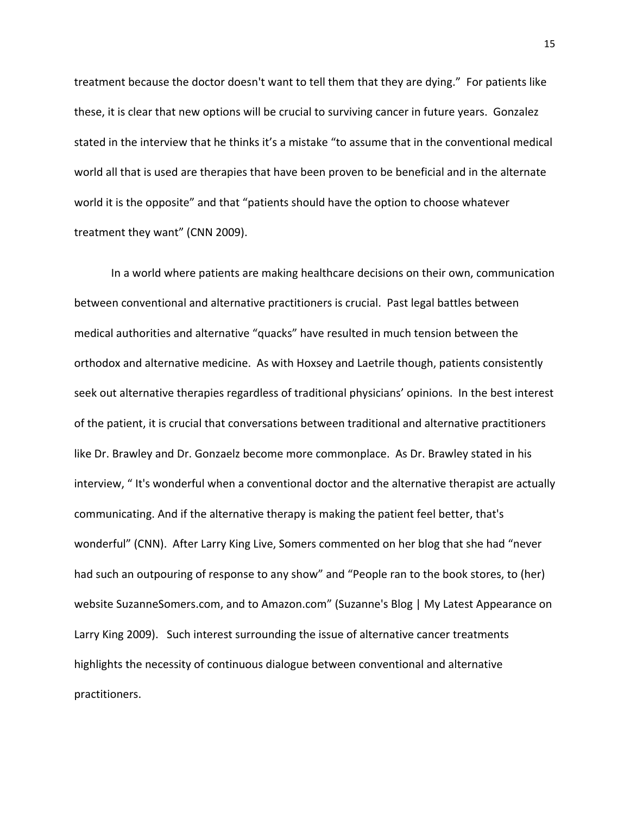treatment because the doctor doesn't want to tell them that they are dying." For patients like these, it is clear that new options will be crucial to surviving cancer in future years. Gonzalez stated in the interview that he thinks it's a mistake "to assume that in the conventional medical world all that is used are therapies that have been proven to be beneficial and in the alternate world it is the opposite" and that "patients should have the option to choose whatever treatment they want" (CNN 2009).

In a world where patients are making healthcare decisions on their own, communication between conventional and alternative practitioners is crucial. Past legal battles between medical authorities and alternative "quacks" have resulted in much tension between the orthodox and alternative medicine. As with Hoxsey and Laetrile though, patients consistently seek out alternative therapies regardless of traditional physicians' opinions. In the best interest of the patient, it is crucial that conversations between traditional and alternative practitioners like Dr. Brawley and Dr. Gonzaelz become more commonplace. As Dr. Brawley stated in his interview, " It's wonderful when a conventional doctor and the alternative therapist are actually communicating. And if the alternative therapy is making the patient feel better, that's wonderful" (CNN). After Larry King Live, Somers commented on her blog that she had "never had such an outpouring of response to any show" and "People ran to the book stores, to (her) website SuzanneSomers.com, and to Amazon.com" (Suzanne's Blog | My Latest Appearance on Larry King 2009). Such interest surrounding the issue of alternative cancer treatments highlights the necessity of continuous dialogue between conventional and alternative practitioners.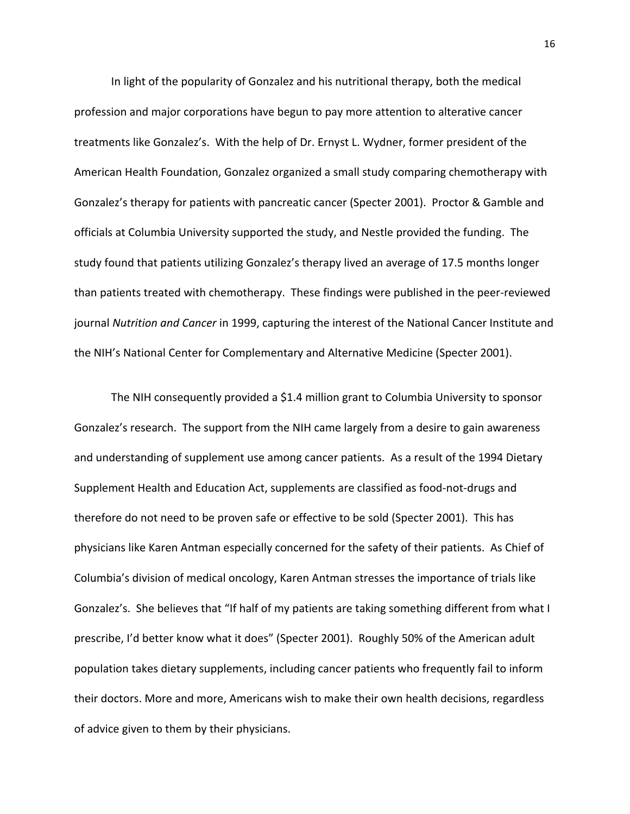In light of the popularity of Gonzalez and his nutritional therapy, both the medical profession and major corporations have begun to pay more attention to alterative cancer treatments like Gonzalez's. With the help of Dr. Ernyst L. Wydner, former president of the American Health Foundation, Gonzalez organized a small study comparing chemotherapy with Gonzalez's therapy for patients with pancreatic cancer (Specter 2001). Proctor & Gamble and officials at Columbia University supported the study, and Nestle provided the funding. The study found that patients utilizing Gonzalez's therapy lived an average of 17.5 months longer than patients treated with chemotherapy. These findings were published in the peer‐reviewed journal *Nutrition and Cancer* in 1999, capturing the interest of the National Cancer Institute and the NIH's National Center for Complementary and Alternative Medicine (Specter 2001).

The NIH consequently provided a \$1.4 million grant to Columbia University to sponsor Gonzalez's research. The support from the NIH came largely from a desire to gain awareness and understanding of supplement use among cancer patients. As a result of the 1994 Dietary Supplement Health and Education Act, supplements are classified as food‐not‐drugs and therefore do not need to be proven safe or effective to be sold (Specter 2001). This has physicians like Karen Antman especially concerned for the safety of their patients. As Chief of Columbia's division of medical oncology, Karen Antman stresses the importance of trials like Gonzalez's. She believes that "If half of my patients are taking something different from what I prescribe, I'd better know what it does" (Specter 2001). Roughly 50% of the American adult population takes dietary supplements, including cancer patients who frequently fail to inform their doctors. More and more, Americans wish to make their own health decisions, regardless of advice given to them by their physicians.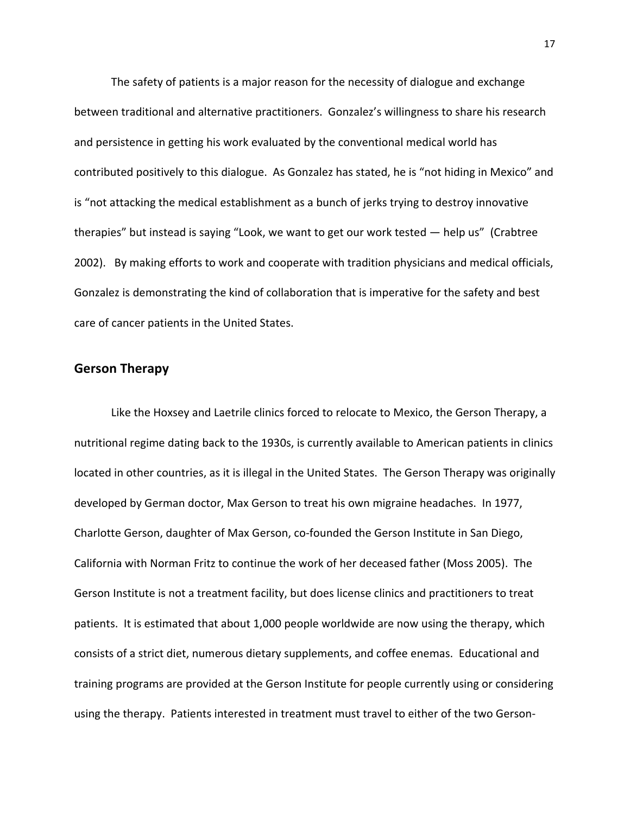The safety of patients is a major reason for the necessity of dialogue and exchange between traditional and alternative practitioners. Gonzalez's willingness to share his research and persistence in getting his work evaluated by the conventional medical world has contributed positively to this dialogue. As Gonzalez has stated, he is "not hiding in Mexico" and is "not attacking the medical establishment as a bunch of jerks trying to destroy innovative therapies" but instead is saying "Look, we want to get our work tested — help us" (Crabtree 2002). By making efforts to work and cooperate with tradition physicians and medical officials, Gonzalez is demonstrating the kind of collaboration that is imperative for the safety and best care of cancer patients in the United States.

## **Gerson Therapy**

Like the Hoxsey and Laetrile clinics forced to relocate to Mexico, the Gerson Therapy, a nutritional regime dating back to the 1930s, is currently available to American patients in clinics located in other countries, as it is illegal in the United States. The Gerson Therapy was originally developed by German doctor, Max Gerson to treat his own migraine headaches. In 1977, Charlotte Gerson, daughter of Max Gerson, co‐founded the Gerson Institute in San Diego, California with Norman Fritz to continue the work of her deceased father (Moss 2005). The Gerson Institute is not a treatment facility, but does license clinics and practitioners to treat patients. It is estimated that about 1,000 people worldwide are now using the therapy, which consists of a strict diet, numerous dietary supplements, and coffee enemas. Educational and training programs are provided at the Gerson Institute for people currently using or considering using the therapy. Patients interested in treatment must travel to either of the two Gerson‐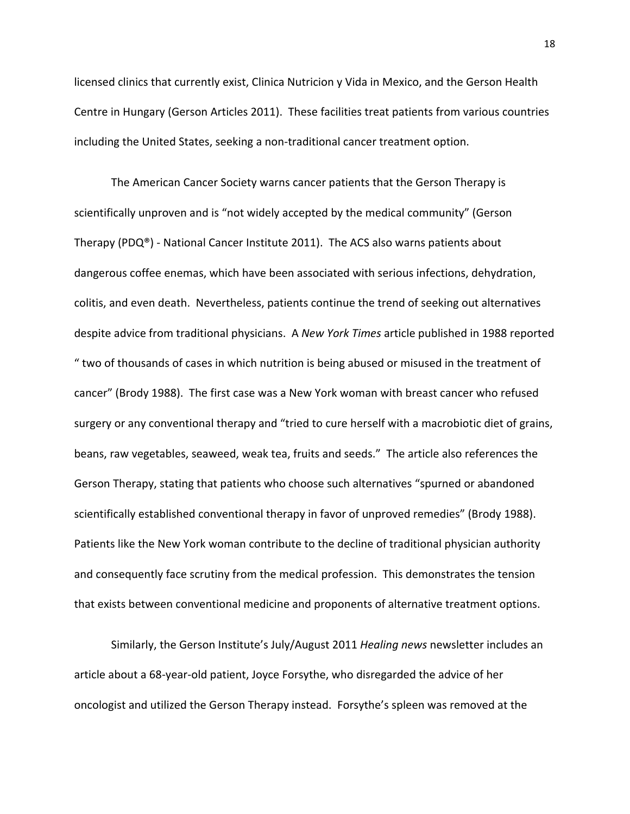licensed clinics that currently exist, Clinica Nutricion y Vida in Mexico, and the Gerson Health Centre in Hungary (Gerson Articles 2011). These facilities treat patients from various countries including the United States, seeking a non‐traditional cancer treatment option.

The American Cancer Society warns cancer patients that the Gerson Therapy is scientifically unproven and is "not widely accepted by the medical community" (Gerson Therapy (PDQ®) ‐ National Cancer Institute 2011). The ACS also warns patients about dangerous coffee enemas, which have been associated with serious infections, dehydration, colitis, and even death. Nevertheless, patients continue the trend of seeking out alternatives despite advice from traditional physicians. A *New York Times* article published in 1988 reported " two of thousands of cases in which nutrition is being abused or misused in the treatment of cancer" (Brody 1988). The first case was a New York woman with breast cancer who refused surgery or any conventional therapy and "tried to cure herself with a macrobiotic diet of grains, beans, raw vegetables, seaweed, weak tea, fruits and seeds." The article also references the Gerson Therapy, stating that patients who choose such alternatives "spurned or abandoned scientifically established conventional therapy in favor of unproved remedies" (Brody 1988). Patients like the New York woman contribute to the decline of traditional physician authority and consequently face scrutiny from the medical profession. This demonstrates the tension that exists between conventional medicine and proponents of alternative treatment options.

Similarly, the Gerson Institute's July/August 2011 *Healing news* newsletter includes an article about a 68‐year‐old patient, Joyce Forsythe, who disregarded the advice of her oncologist and utilized the Gerson Therapy instead. Forsythe's spleen was removed at the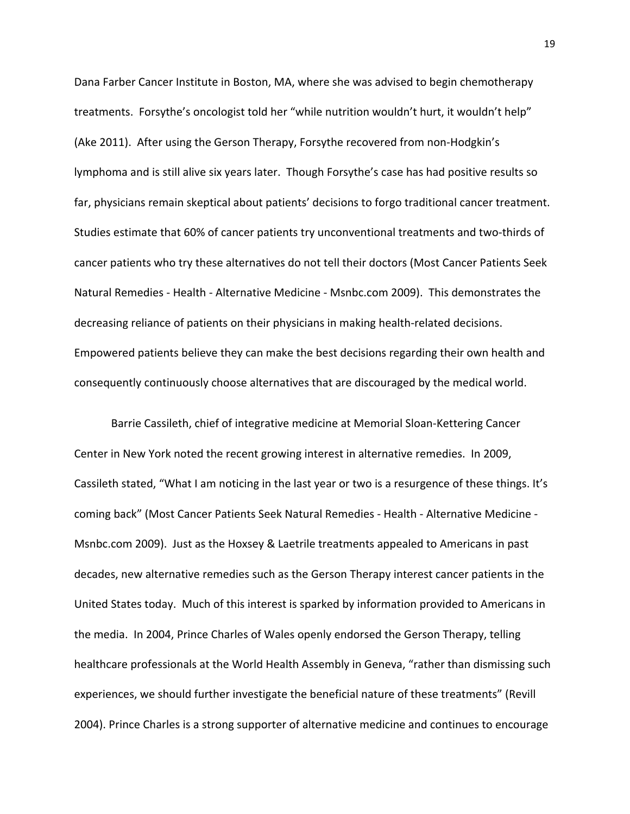Dana Farber Cancer Institute in Boston, MA, where she was advised to begin chemotherapy treatments. Forsythe's oncologist told her "while nutrition wouldn't hurt, it wouldn't help" (Ake 2011). After using the Gerson Therapy, Forsythe recovered from non‐Hodgkin's lymphoma and is still alive six years later. Though Forsythe's case has had positive results so far, physicians remain skeptical about patients' decisions to forgo traditional cancer treatment. Studies estimate that 60% of cancer patients try unconventional treatments and two‐thirds of cancer patients who try these alternatives do not tell their doctors (Most Cancer Patients Seek Natural Remedies ‐ Health ‐ Alternative Medicine ‐ Msnbc.com 2009). This demonstrates the decreasing reliance of patients on their physicians in making health‐related decisions. Empowered patients believe they can make the best decisions regarding their own health and consequently continuously choose alternatives that are discouraged by the medical world.

Barrie Cassileth, chief of integrative medicine at Memorial Sloan‐Kettering Cancer Center in New York noted the recent growing interest in alternative remedies. In 2009, Cassileth stated, "What I am noticing in the last year or two is a resurgence of these things. It's coming back" (Most Cancer Patients Seek Natural Remedies ‐ Health ‐ Alternative Medicine ‐ Msnbc.com 2009). Just as the Hoxsey & Laetrile treatments appealed to Americans in past decades, new alternative remedies such as the Gerson Therapy interest cancer patients in the United States today. Much of this interest is sparked by information provided to Americans in the media. In 2004, Prince Charles of Wales openly endorsed the Gerson Therapy, telling healthcare professionals at the World Health Assembly in Geneva, "rather than dismissing such experiences, we should further investigate the beneficial nature of these treatments" (Revill 2004). Prince Charles is a strong supporter of alternative medicine and continues to encourage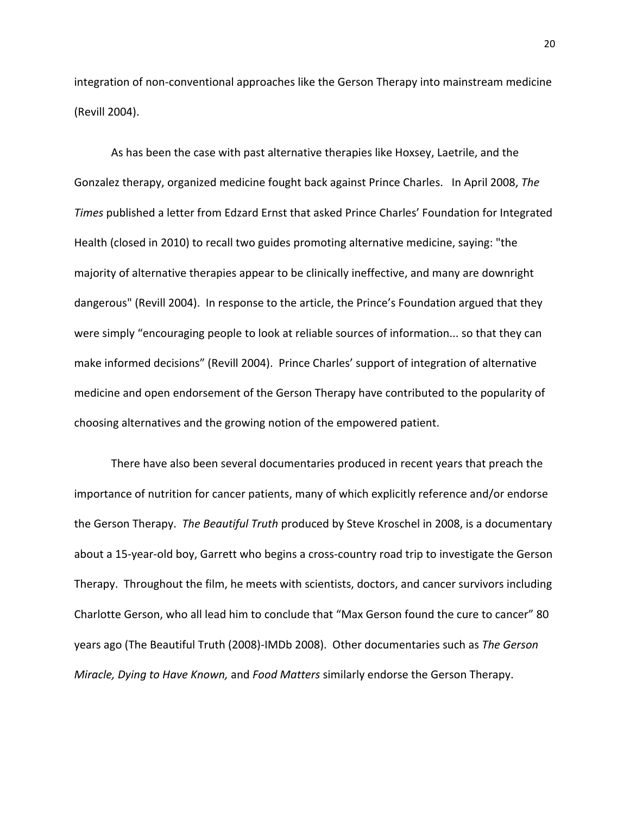integration of non‐conventional approaches like the Gerson Therapy into mainstream medicine (Revill 2004).

As has been the case with past alternative therapies like Hoxsey, Laetrile, and the Gonzalez therapy, organized medicine fought back against Prince Charles. In April 2008, *The Times* published a letter from Edzard Ernst that asked Prince Charles' Foundation for Integrated Health (closed in 2010) to recall two guides promoting alternative medicine, saying: "the majority of alternative therapies appear to be clinically ineffective, and many are downright dangerous" (Revill 2004). In response to the article, the Prince's Foundation argued that they were simply "encouraging people to look at reliable sources of information... so that they can make informed decisions" (Revill 2004). Prince Charles' support of integration of alternative medicine and open endorsement of the Gerson Therapy have contributed to the popularity of choosing alternatives and the growing notion of the empowered patient.

There have also been several documentaries produced in recent years that preach the importance of nutrition for cancer patients, many of which explicitly reference and/or endorse the Gerson Therapy. *The Beautiful Truth* produced by Steve Kroschel in 2008, is a documentary about a 15‐year‐old boy, Garrett who begins a cross‐country road trip to investigate the Gerson Therapy. Throughout the film, he meets with scientists, doctors, and cancer survivors including Charlotte Gerson, who all lead him to conclude that "Max Gerson found the cure to cancer" 80 years ago (The Beautiful Truth (2008)‐IMDb 2008). Other documentaries such as *The Gerson Miracle, Dying to Have Known,* and *Food Matters* similarly endorse the Gerson Therapy.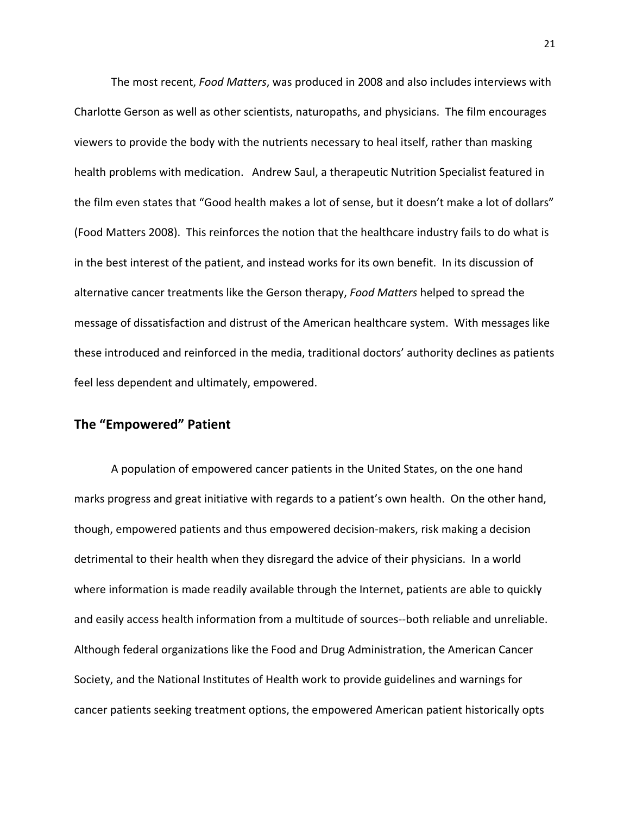The most recent, *Food Matters*, was produced in 2008 and also includes interviews with Charlotte Gerson as well as other scientists, naturopaths, and physicians. The film encourages viewers to provide the body with the nutrients necessary to heal itself, rather than masking health problems with medication. Andrew Saul, a therapeutic Nutrition Specialist featured in the film even states that "Good health makes a lot of sense, but it doesn't make a lot of dollars" (Food Matters 2008). This reinforces the notion that the healthcare industry fails to do what is in the best interest of the patient, and instead works for its own benefit. In its discussion of alternative cancer treatments like the Gerson therapy, *Food Matters* helped to spread the message of dissatisfaction and distrust of the American healthcare system. With messages like these introduced and reinforced in the media, traditional doctors' authority declines as patients feel less dependent and ultimately, empowered.

# **The "Empowered" Patient**

A population of empowered cancer patients in the United States, on the one hand marks progress and great initiative with regards to a patient's own health. On the other hand, though, empowered patients and thus empowered decision‐makers, risk making a decision detrimental to their health when they disregard the advice of their physicians. In a world where information is made readily available through the Internet, patients are able to quickly and easily access health information from a multitude of sources--both reliable and unreliable. Although federal organizations like the Food and Drug Administration, the American Cancer Society, and the National Institutes of Health work to provide guidelines and warnings for cancer patients seeking treatment options, the empowered American patient historically opts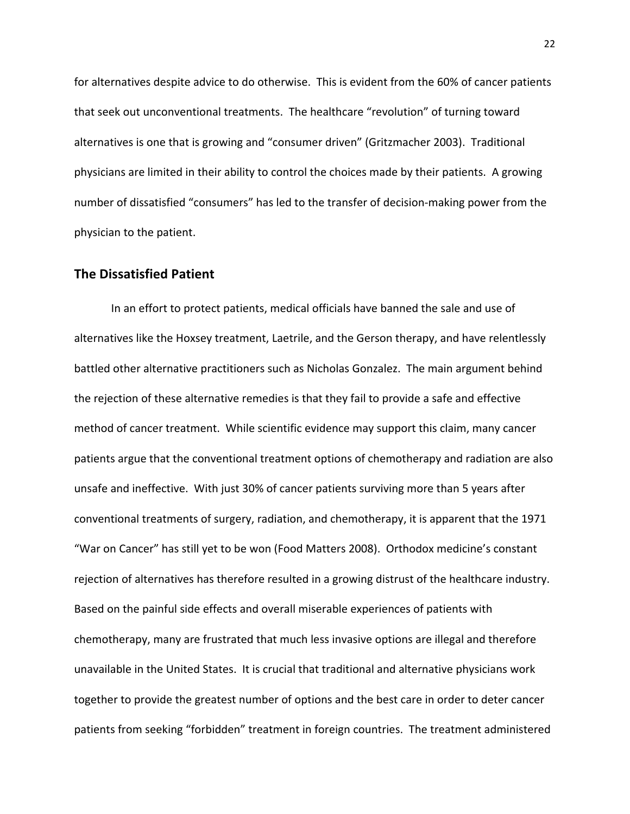for alternatives despite advice to do otherwise. This is evident from the 60% of cancer patients that seek out unconventional treatments. The healthcare "revolution" of turning toward alternatives is one that is growing and "consumer driven" (Gritzmacher 2003). Traditional physicians are limited in their ability to control the choices made by their patients. A growing number of dissatisfied "consumers" has led to the transfer of decision‐making power from the physician to the patient.

# **The Dissatisfied Patient**

In an effort to protect patients, medical officials have banned the sale and use of alternatives like the Hoxsey treatment, Laetrile, and the Gerson therapy, and have relentlessly battled other alternative practitioners such as Nicholas Gonzalez. The main argument behind the rejection of these alternative remedies is that they fail to provide a safe and effective method of cancer treatment. While scientific evidence may support this claim, many cancer patients argue that the conventional treatment options of chemotherapy and radiation are also unsafe and ineffective. With just 30% of cancer patients surviving more than 5 years after conventional treatments of surgery, radiation, and chemotherapy, it is apparent that the 1971 "War on Cancer" has still yet to be won (Food Matters 2008). Orthodox medicine's constant rejection of alternatives has therefore resulted in a growing distrust of the healthcare industry. Based on the painful side effects and overall miserable experiences of patients with chemotherapy, many are frustrated that much less invasive options are illegal and therefore unavailable in the United States. It is crucial that traditional and alternative physicians work together to provide the greatest number of options and the best care in order to deter cancer patients from seeking "forbidden" treatment in foreign countries. The treatment administered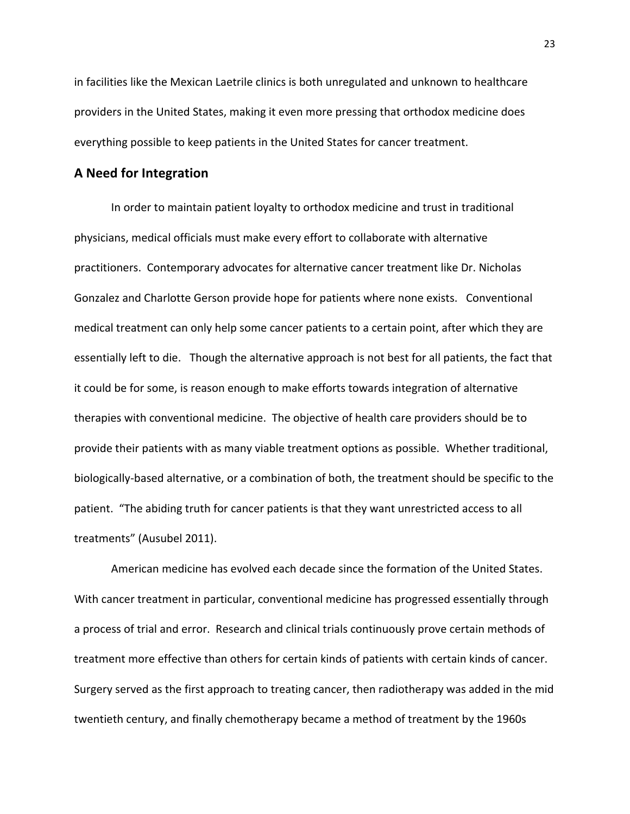in facilities like the Mexican Laetrile clinics is both unregulated and unknown to healthcare providers in the United States, making it even more pressing that orthodox medicine does everything possible to keep patients in the United States for cancer treatment.

#### **A Need for Integration**

In order to maintain patient loyalty to orthodox medicine and trust in traditional physicians, medical officials must make every effort to collaborate with alternative practitioners. Contemporary advocates for alternative cancer treatment like Dr. Nicholas Gonzalez and Charlotte Gerson provide hope for patients where none exists. Conventional medical treatment can only help some cancer patients to a certain point, after which they are essentially left to die. Though the alternative approach is not best for all patients, the fact that it could be for some, is reason enough to make efforts towards integration of alternative therapies with conventional medicine. The objective of health care providers should be to provide their patients with as many viable treatment options as possible. Whether traditional, biologically‐based alternative, or a combination of both, the treatment should be specific to the patient. "The abiding truth for cancer patients is that they want unrestricted access to all treatments" (Ausubel 2011).

American medicine has evolved each decade since the formation of the United States. With cancer treatment in particular, conventional medicine has progressed essentially through a process of trial and error. Research and clinical trials continuously prove certain methods of treatment more effective than others for certain kinds of patients with certain kinds of cancer. Surgery served as the first approach to treating cancer, then radiotherapy was added in the mid twentieth century, and finally chemotherapy became a method of treatment by the 1960s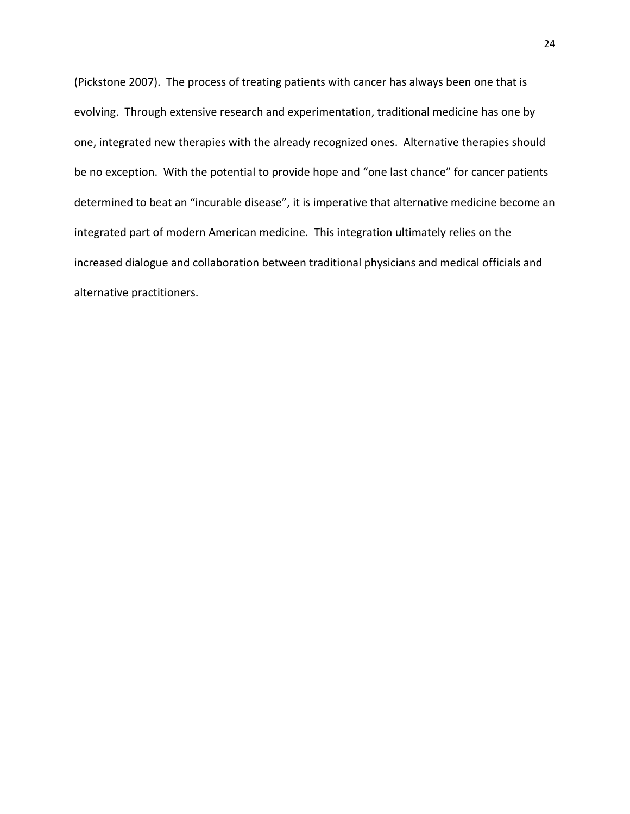(Pickstone 2007). The process of treating patients with cancer has always been one that is evolving. Through extensive research and experimentation, traditional medicine has one by one, integrated new therapies with the already recognized ones. Alternative therapies should be no exception. With the potential to provide hope and "one last chance" for cancer patients determined to beat an "incurable disease", it is imperative that alternative medicine become an integrated part of modern American medicine. This integration ultimately relies on the increased dialogue and collaboration between traditional physicians and medical officials and alternative practitioners.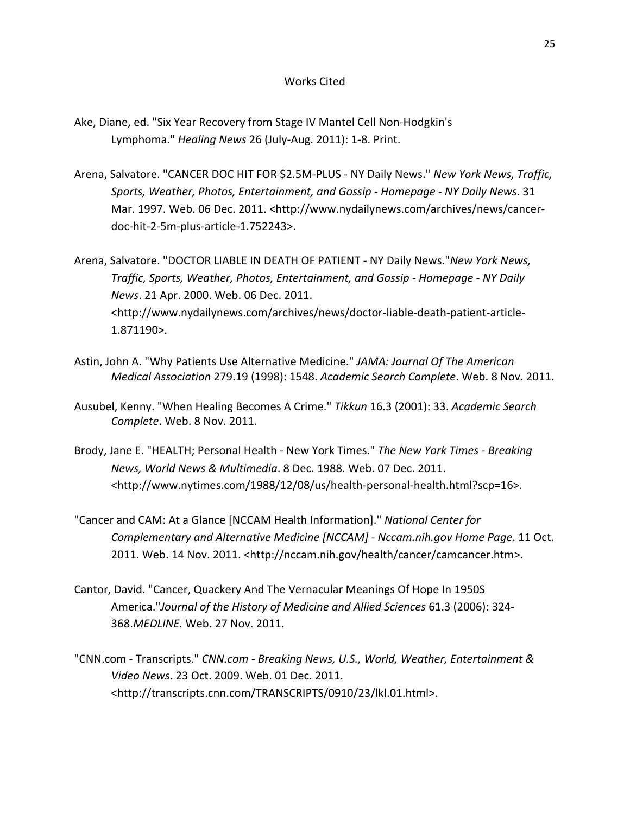#### Works Cited

- Ake, Diane, ed. "Six Year Recovery from Stage IV Mantel Cell Non‐Hodgkin's Lymphoma." *Healing News* 26 (July‐Aug. 2011): 1‐8. Print.
- Arena, Salvatore. "CANCER DOC HIT FOR \$2.5M‐PLUS ‐ NY Daily News." *New York News, Traffic, Sports, Weather, Photos, Entertainment, and Gossip ‐ Homepage ‐ NY Daily News*. 31 Mar. 1997. Web. 06 Dec. 2011. <http://www.nydailynews.com/archives/news/cancer‐ doc‐hit‐2‐5m‐plus‐article‐1.752243>.

Arena, Salvatore. "DOCTOR LIABLE IN DEATH OF PATIENT ‐ NY Daily News."*New York News, Traffic, Sports, Weather, Photos, Entertainment, and Gossip ‐ Homepage ‐ NY Daily News*. 21 Apr. 2000. Web. 06 Dec. 2011. <http://www.nydailynews.com/archives/news/doctor‐liable‐death‐patient‐article‐ 1.871190>.

- Astin, John A. "Why Patients Use Alternative Medicine." *JAMA: Journal Of The American Medical Association* 279.19 (1998): 1548. *Academic Search Complete*. Web. 8 Nov. 2011.
- Ausubel, Kenny. "When Healing Becomes A Crime." *Tikkun* 16.3 (2001): 33. *Academic Search Complete*. Web. 8 Nov. 2011.
- Brody, Jane E. "HEALTH; Personal Health ‐ New York Times." *The New York Times ‐ Breaking News, World News & Multimedia*. 8 Dec. 1988. Web. 07 Dec. 2011. <http://www.nytimes.com/1988/12/08/us/health‐personal‐health.html?scp=16>.
- "Cancer and CAM: At a Glance [NCCAM Health Information]." *National Center for Complementary and Alternative Medicine [NCCAM] ‐ Nccam.nih.gov Home Page*. 11 Oct. 2011. Web. 14 Nov. 2011. <http://nccam.nih.gov/health/cancer/camcancer.htm>.
- Cantor, David. "Cancer, Quackery And The Vernacular Meanings Of Hope In 1950S America."*Journal of the History of Medicine and Allied Sciences* 61.3 (2006): 324‐ 368.*MEDLINE.* Web. 27 Nov. 2011.
- "CNN.com ‐ Transcripts." *CNN.com ‐ Breaking News, U.S., World, Weather, Entertainment & Video News*. 23 Oct. 2009. Web. 01 Dec. 2011. <http://transcripts.cnn.com/TRANSCRIPTS/0910/23/lkl.01.html>.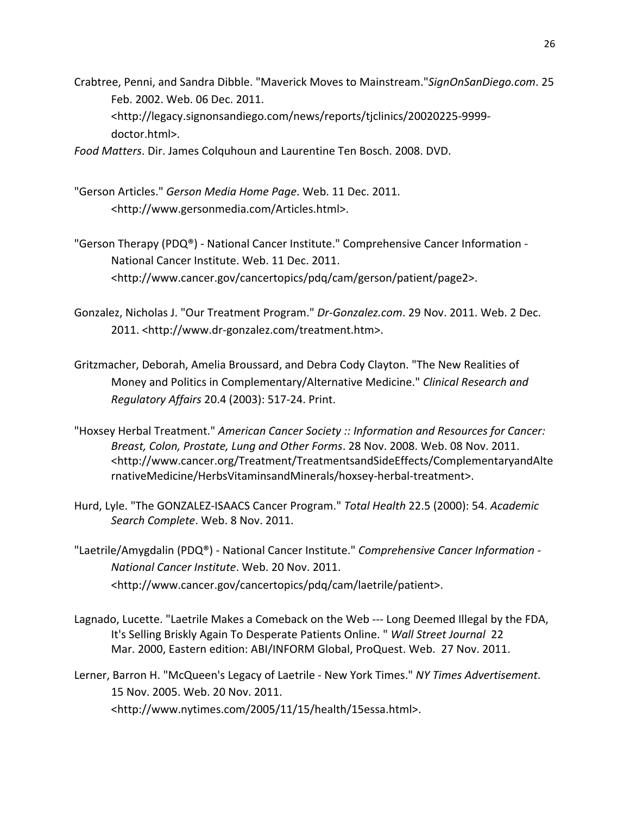Crabtree, Penni, and Sandra Dibble. "Maverick Moves to Mainstream."*SignOnSanDiego.com*. 25 Feb. 2002. Web. 06 Dec. 2011. <http://legacy.signonsandiego.com/news/reports/tjclinics/20020225‐9999‐ doctor.html>.

*Food Matters*. Dir. James Colquhoun and Laurentine Ten Bosch. 2008. DVD.

- "Gerson Articles." *Gerson Media Home Page*. Web. 11 Dec. 2011. <http://www.gersonmedia.com/Articles.html>.
- "Gerson Therapy (PDQ®) ‐ National Cancer Institute." Comprehensive Cancer Information ‐ National Cancer Institute. Web. 11 Dec. 2011. <http://www.cancer.gov/cancertopics/pdq/cam/gerson/patient/page2>.
- Gonzalez, Nicholas J. "Our Treatment Program." *Dr‐Gonzalez.com*. 29 Nov. 2011. Web. 2 Dec. 2011. <http://www.dr‐gonzalez.com/treatment.htm>.
- Gritzmacher, Deborah, Amelia Broussard, and Debra Cody Clayton. "The New Realities of Money and Politics in Complementary/Alternative Medicine." *Clinical Research and Regulatory Affairs* 20.4 (2003): 517‐24. Print.
- "Hoxsey Herbal Treatment." *American Cancer Society :: Information and Resources for Cancer: Breast, Colon, Prostate, Lung and Other Forms*. 28 Nov. 2008. Web. 08 Nov. 2011. <http://www.cancer.org/Treatment/TreatmentsandSideEffects/ComplementaryandAlte rnativeMedicine/HerbsVitaminsandMinerals/hoxsey‐herbal‐treatment>.
- Hurd, Lyle. "The GONZALEZ‐ISAACS Cancer Program." *Total Health* 22.5 (2000): 54. *Academic Search Complete*. Web. 8 Nov. 2011.
- "Laetrile/Amygdalin (PDQ®) ‐ National Cancer Institute." *Comprehensive Cancer Information ‐ National Cancer Institute*. Web. 20 Nov. 2011. <http://www.cancer.gov/cancertopics/pdq/cam/laetrile/patient>.
- Lagnado, Lucette. "Laetrile Makes a Comeback on the Web ‐‐‐ Long Deemed Illegal by the FDA, It's Selling Briskly Again To Desperate Patients Online. " *Wall Street Journal* 22 Mar. 2000, Eastern edition: ABI/INFORM Global, ProQuest. Web. 27 Nov. 2011.
- Lerner, Barron H. "McQueen's Legacy of Laetrile ‐ New York Times." *NY Times Advertisement*. 15 Nov. 2005. Web. 20 Nov. 2011. <http://www.nytimes.com/2005/11/15/health/15essa.html>.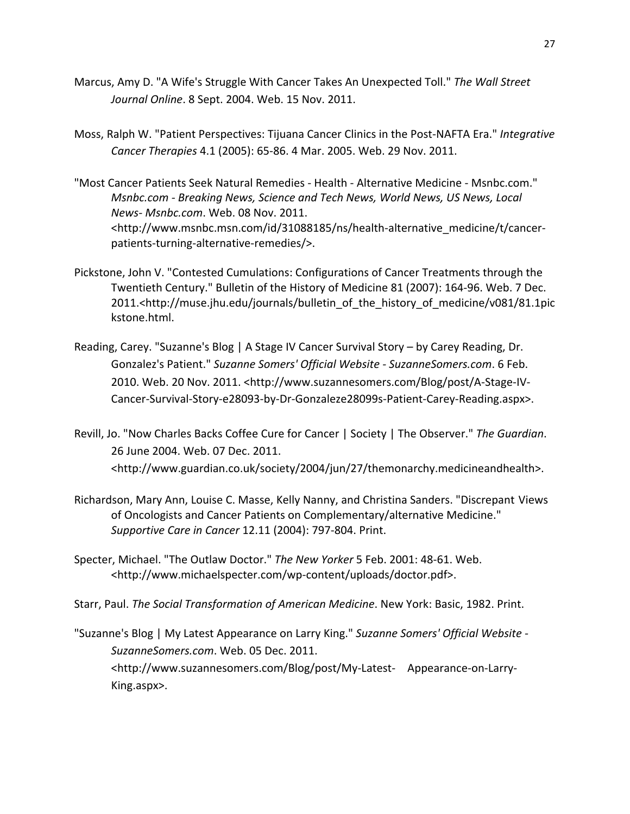- Marcus, Amy D. "A Wife's Struggle With Cancer Takes An Unexpected Toll." *The Wall Street Journal Online*. 8 Sept. 2004. Web. 15 Nov. 2011.
- Moss, Ralph W. "Patient Perspectives: Tijuana Cancer Clinics in the Post‐NAFTA Era." *Integrative Cancer Therapies* 4.1 (2005): 65‐86. 4 Mar. 2005. Web. 29 Nov. 2011.
- "Most Cancer Patients Seek Natural Remedies ‐ Health ‐ Alternative Medicine ‐ Msnbc.com." *Msnbc.com ‐ Breaking News, Science and Tech News, World News, US News, Local News‐ Msnbc.com*. Web. 08 Nov. 2011. <http://www.msnbc.msn.com/id/31088185/ns/health‐alternative\_medicine/t/cancer‐ patients‐turning‐alternative‐remedies/>.
- Pickstone, John V. "Contested Cumulations: Configurations of Cancer Treatments through the Twentieth Century." Bulletin of the History of Medicine 81 (2007): 164‐96. Web. 7 Dec. 2011.<http://muse.jhu.edu/journals/bulletin\_of\_the\_history\_of\_medicine/v081/81.1pic kstone.html.
- Reading, Carey. "Suzanne's Blog | A Stage IV Cancer Survival Story by Carey Reading, Dr. Gonzalez's Patient." *Suzanne Somers' Official Website ‐ SuzanneSomers.com*. 6 Feb. 2010. Web. 20 Nov. 2011. <http://www.suzannesomers.com/Blog/post/A‐Stage‐IV‐ Cancer‐Survival‐Story‐e28093‐by‐Dr‐Gonzaleze28099s‐Patient‐Carey‐Reading.aspx>.
- Revill, Jo. "Now Charles Backs Coffee Cure for Cancer | Society | The Observer." *The Guardian*. 26 June 2004. Web. 07 Dec. 2011. <http://www.guardian.co.uk/society/2004/jun/27/themonarchy.medicineandhealth>.
- Richardson, Mary Ann, Louise C. Masse, Kelly Nanny, and Christina Sanders. "Discrepant Views of Oncologists and Cancer Patients on Complementary/alternative Medicine." *Supportive Care in Cancer* 12.11 (2004): 797‐804. Print.
- Specter, Michael. "The Outlaw Doctor." *The New Yorker* 5 Feb. 2001: 48‐61. Web. <http://www.michaelspecter.com/wp‐content/uploads/doctor.pdf>.
- Starr, Paul. *The Social Transformation of American Medicine*. New York: Basic, 1982. Print.
- "Suzanne's Blog | My Latest Appearance on Larry King." *Suzanne Somers' Official Website ‐ SuzanneSomers.com*. Web. 05 Dec. 2011. <http://www.suzannesomers.com/Blog/post/My‐Latest‐ Appearance‐on‐Larry‐ King.aspx>.